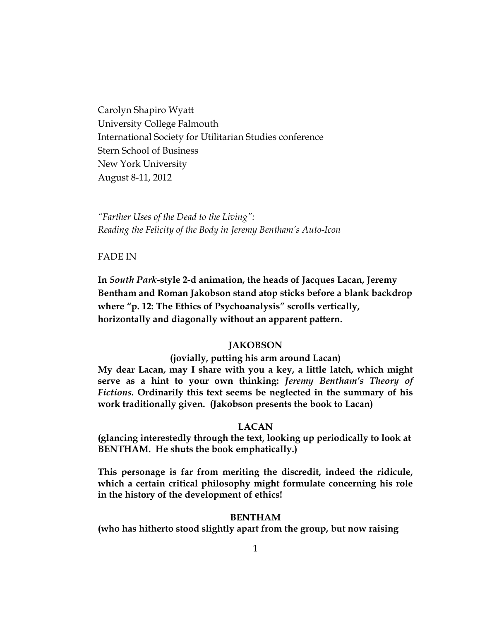Carolyn Shapiro Wyatt University College Falmouth International Society for Utilitarian Studies conference Stern School of Business New York University August 8-11, 2012

*"Farther Uses of the Dead to the Living": Reading the Felicity of the Body in Jeremy Bentham's Auto-Icon*

FADE IN

**In** *South Park***-style 2-d animation, the heads of Jacques Lacan, Jeremy Bentham and Roman Jakobson stand atop sticks before a blank backdrop where "p. 12: The Ethics of Psychoanalysis" scrolls vertically, horizontally and diagonally without an apparent pattern.**

## **JAKOBSON**

**(jovially, putting his arm around Lacan)**

**My dear Lacan, may I share with you a key, a little latch, which might serve as a hint to your own thinking:** *Jeremy Bentham's Theory of Fictions.* **Ordinarily this text seems be neglected in the summary of his work traditionally given. (Jakobson presents the book to Lacan)**

## **LACAN**

**(glancing interestedly through the text, looking up periodically to look at BENTHAM. He shuts the book emphatically.)**

**This personage is far from meriting the discredit, indeed the ridicule, which a certain critical philosophy might formulate concerning his role in the history of the development of ethics!**

## **BENTHAM**

**(who has hitherto stood slightly apart from the group, but now raising**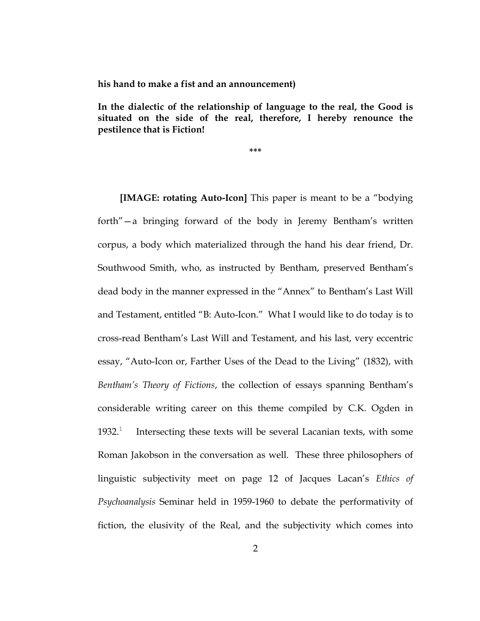**his hand to make a fist and an announcement)**

**In the dialectic of the relationship of language to the real, the Good is situated on the side of the real, therefore, I hereby renounce the pestilence that is Fiction!**

**\*\*\***

**[IMAGE: rotating Auto-Icon]** This paper is meant to be a "bodying forth"—a bringing forward of the body in Jeremy Bentham's written corpus, a body which materialized through the hand his dear friend, Dr. Southwood Smith, who, as instructed by Bentham, preserved Bentham's dead body in the manner expressed in the "Annex" to Bentham's Last Will and Testament, entitled "B: Auto-Icon." What I would like to do today is to cross-read Bentham's Last Will and Testament, and his last, very eccentric essay, "Auto-Icon or, Farther Uses of the Dead to the Living" (1832), with *Bentham's Theory of Fictions*, the collection of essays spanning Bentham's considerable writing career on this theme compiled by C.K. Ogden in  $1932.<sup>1</sup>$  Intersecting these texts will be several Lacanian texts, with some Roman Jakobson in the conversation as well. These three philosophers of linguistic subjectivity meet on page 12 of Jacques Lacan's *Ethics of Psychoanalysis* Seminar held in 1959-1960 to debate the performativity of fiction, the elusivity of the Real, and the subjectivity which comes into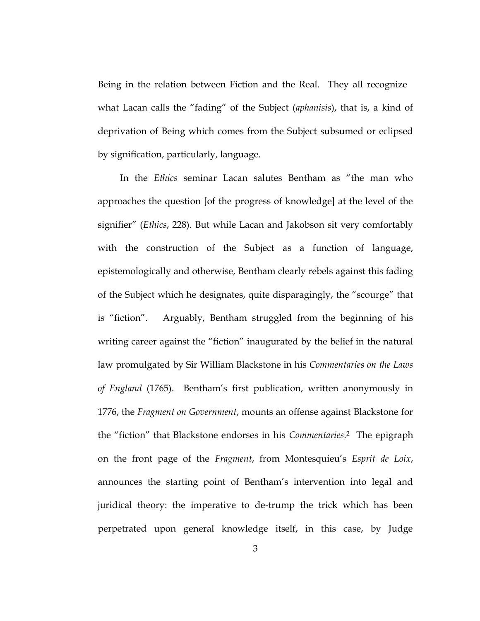Being in the relation between Fiction and the Real. They all recognize what Lacan calls the "fading" of the Subject (*aphanisis*), that is, a kind of deprivation of Being which comes from the Subject subsumed or eclipsed by signification, particularly, language.

In the *Ethics* seminar Lacan salutes Bentham as "the man who approaches the question [of the progress of knowledge] at the level of the signifier" (*Ethics*, 228). But while Lacan and Jakobson sit very comfortably with the construction of the Subject as a function of language, epistemologically and otherwise, Bentham clearly rebels against this fading of the Subject which he designates, quite disparagingly, the "scourge" that is "fiction". Arguably, Bentham struggled from the beginning of his writing career against the "fiction" inaugurated by the belief in the natural law promulgated by Sir William Blackstone in his *Commentaries on the Laws of England* (1765). Bentham's first publication, written anonymously in 1776, the *Fragment on Government*, mounts an offense against Blackstone for the "fiction" that Blackstone endorses in his *Commentaries*. <sup>2</sup> The epigraph on the front page of the *Fragment*, from Montesquieu's *Esprit de Loix*, announces the starting point of Bentham's intervention into legal and juridical theory: the imperative to de-trump the trick which has been perpetrated upon general knowledge itself, in this case, by Judge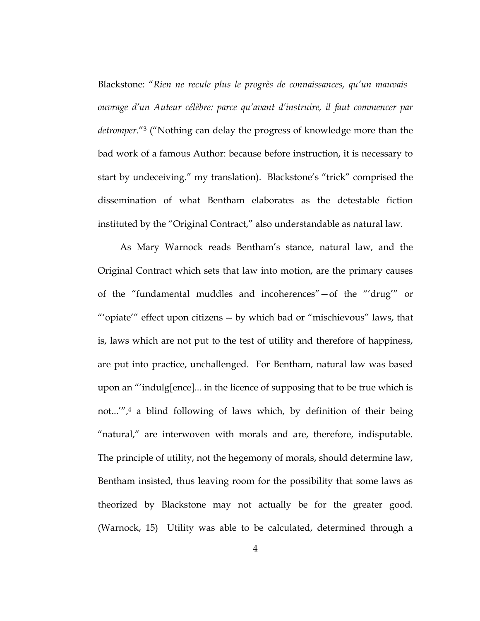Blackstone: "*Rien ne recule plus le progrès de connaissances, qu'un mauvais ouvrage d'un Auteur célèbre: parce qu'avant d'instruire, il faut commencer par detromper*."<sup>3</sup> ("Nothing can delay the progress of knowledge more than the bad work of a famous Author: because before instruction, it is necessary to start by undeceiving." my translation). Blackstone's "trick" comprised the dissemination of what Bentham elaborates as the detestable fiction instituted by the "Original Contract," also understandable as natural law.

As Mary Warnock reads Bentham's stance, natural law, and the Original Contract which sets that law into motion, are the primary causes of the "fundamental muddles and incoherences"—of the "'drug'" or "'opiate'" effect upon citizens -- by which bad or "mischievous" laws, that is, laws which are not put to the test of utility and therefore of happiness, are put into practice, unchallenged. For Bentham, natural law was based upon an "'indulg[ence]... in the licence of supposing that to be true which is not...'", <sup>4</sup> a blind following of laws which, by definition of their being "natural," are interwoven with morals and are, therefore, indisputable. The principle of utility, not the hegemony of morals, should determine law, Bentham insisted, thus leaving room for the possibility that some laws as theorized by Blackstone may not actually be for the greater good. (Warnock, 15) Utility was able to be calculated, determined through a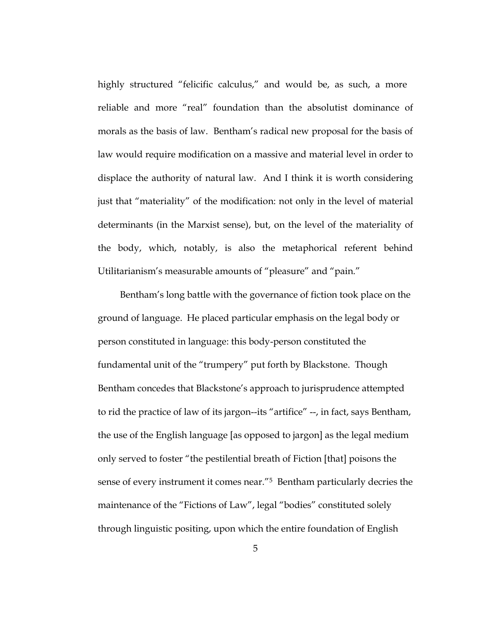highly structured "felicific calculus," and would be, as such, a more reliable and more "real" foundation than the absolutist dominance of morals as the basis of law. Bentham's radical new proposal for the basis of law would require modification on a massive and material level in order to displace the authority of natural law. And I think it is worth considering just that "materiality" of the modification: not only in the level of material determinants (in the Marxist sense), but, on the level of the materiality of the body, which, notably, is also the metaphorical referent behind Utilitarianism's measurable amounts of "pleasure" and "pain."

Bentham's long battle with the governance of fiction took place on the ground of language. He placed particular emphasis on the legal body or person constituted in language: this body-person constituted the fundamental unit of the "trumpery" put forth by Blackstone. Though Bentham concedes that Blackstone's approach to jurisprudence attempted to rid the practice of law of its jargon--its "artifice" --, in fact, says Bentham, the use of the English language [as opposed to jargon] as the legal medium only served to foster "the pestilential breath of Fiction [that] poisons the sense of every instrument it comes near."<sup>5</sup> Bentham particularly decries the maintenance of the "Fictions of Law", legal "bodies" constituted solely through linguistic positing, upon which the entire foundation of English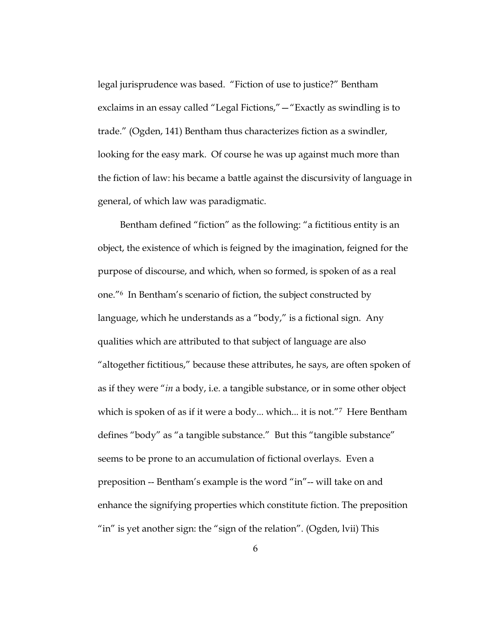legal jurisprudence was based. "Fiction of use to justice?" Bentham exclaims in an essay called "Legal Fictions,"—"Exactly as swindling is to trade." (Ogden, 141) Bentham thus characterizes fiction as a swindler, looking for the easy mark. Of course he was up against much more than the fiction of law: his became a battle against the discursivity of language in general, of which law was paradigmatic.

Bentham defined "fiction" as the following: "a fictitious entity is an object, the existence of which is feigned by the imagination, feigned for the purpose of discourse, and which, when so formed, is spoken of as a real one."<sup>6</sup> In Bentham's scenario of fiction, the subject constructed by language, which he understands as a "body," is a fictional sign. Any qualities which are attributed to that subject of language are also "altogether fictitious," because these attributes, he says, are often spoken of as if they were "*in* a body, i.e. a tangible substance, or in some other object which is spoken of as if it were a body... which... it is not."7 Here Bentham defines "body" as "a tangible substance." But this "tangible substance" seems to be prone to an accumulation of fictional overlays. Even a preposition -- Bentham's example is the word "in"-- will take on and enhance the signifying properties which constitute fiction. The preposition "in" is yet another sign: the "sign of the relation". (Ogden, lvii) This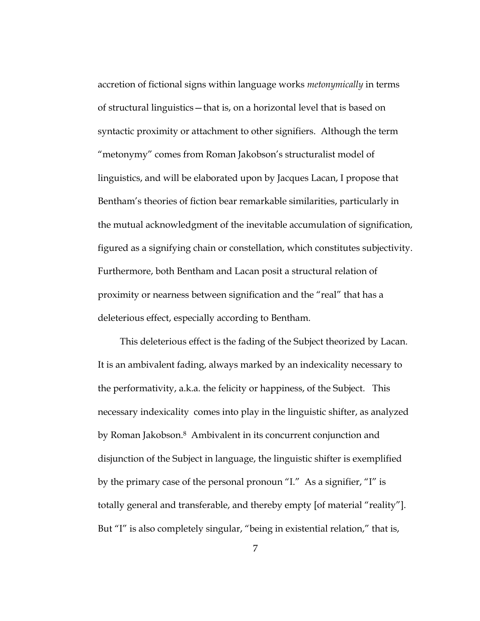accretion of fictional signs within language works *metonymically* in terms of structural linguistics—that is, on a horizontal level that is based on syntactic proximity or attachment to other signifiers. Although the term "metonymy" comes from Roman Jakobson's structuralist model of linguistics, and will be elaborated upon by Jacques Lacan, I propose that Bentham's theories of fiction bear remarkable similarities, particularly in the mutual acknowledgment of the inevitable accumulation of signification, figured as a signifying chain or constellation, which constitutes subjectivity. Furthermore, both Bentham and Lacan posit a structural relation of proximity or nearness between signification and the "real" that has a deleterious effect, especially according to Bentham.

This deleterious effect is the fading of the Subject theorized by Lacan. It is an ambivalent fading, always marked by an indexicality necessary to the performativity, a.k.a. the felicity or happiness, of the Subject. This necessary indexicality comes into play in the linguistic shifter, as analyzed by Roman Jakobson. <sup>8</sup> Ambivalent in its concurrent conjunction and disjunction of the Subject in language, the linguistic shifter is exemplified by the primary case of the personal pronoun "I." As a signifier, "I" is totally general and transferable, and thereby empty [of material "reality"]. But "I" is also completely singular, "being in existential relation," that is,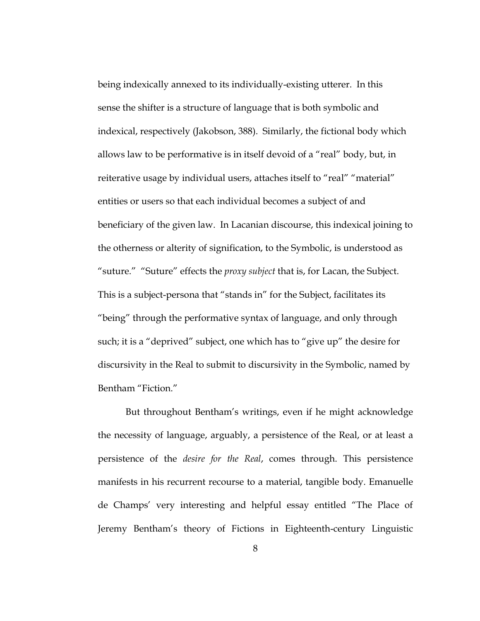being indexically annexed to its individually-existing utterer. In this sense the shifter is a structure of language that is both symbolic and indexical, respectively (Jakobson, 388). Similarly, the fictional body which allows law to be performative is in itself devoid of a "real" body, but, in reiterative usage by individual users, attaches itself to "real" "material" entities or users so that each individual becomes a subject of and beneficiary of the given law. In Lacanian discourse, this indexical joining to the otherness or alterity of signification, to the Symbolic, is understood as "suture." "Suture" effects the *proxy subject* that is, for Lacan, the Subject. This is a subject-persona that "stands in" for the Subject, facilitates its "being" through the performative syntax of language, and only through such; it is a "deprived" subject, one which has to "give up" the desire for discursivity in the Real to submit to discursivity in the Symbolic, named by Bentham "Fiction."

But throughout Bentham's writings, even if he might acknowledge the necessity of language, arguably, a persistence of the Real, or at least a persistence of the *desire for the Real*, comes through. This persistence manifests in his recurrent recourse to a material, tangible body. Emanuelle de Champs' very interesting and helpful essay entitled "The Place of Jeremy Bentham's theory of Fictions in Eighteenth-century Linguistic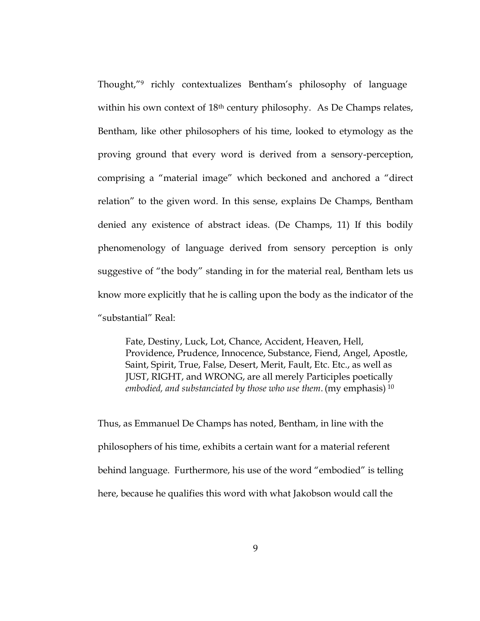Thought,"<sup>9</sup> richly contextualizes Bentham's philosophy of language within his own context of 18<sup>th</sup> century philosophy. As De Champs relates, Bentham, like other philosophers of his time, looked to etymology as the proving ground that every word is derived from a sensory-perception, comprising a "material image" which beckoned and anchored a "direct relation" to the given word. In this sense, explains De Champs, Bentham denied any existence of abstract ideas. (De Champs, 11) If this bodily phenomenology of language derived from sensory perception is only suggestive of "the body" standing in for the material real, Bentham lets us know more explicitly that he is calling upon the body as the indicator of the "substantial" Real:

Fate, Destiny, Luck, Lot, Chance, Accident, Heaven, Hell, Providence, Prudence, Innocence, Substance, Fiend, Angel, Apostle, Saint, Spirit, True, False, Desert, Merit, Fault, Etc. Etc., as well as JUST, RIGHT, and WRONG, are all merely Participles poetically *embodied, and substanciated by those who use them*. (my emphasis) <sup>10</sup>

Thus, as Emmanuel De Champs has noted, Bentham, in line with the philosophers of his time, exhibits a certain want for a material referent behind language. Furthermore, his use of the word "embodied" is telling here, because he qualifies this word with what Jakobson would call the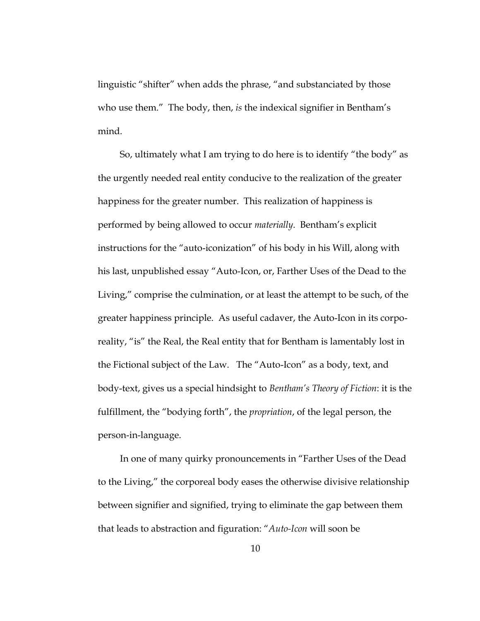linguistic "shifter" when adds the phrase, "and substanciated by those who use them." The body, then, *is* the indexical signifier in Bentham's mind.

So, ultimately what I am trying to do here is to identify "the body" as the urgently needed real entity conducive to the realization of the greater happiness for the greater number. This realization of happiness is performed by being allowed to occur *materially*. Bentham's explicit instructions for the "auto-iconization" of his body in his Will, along with his last, unpublished essay "Auto-Icon, or, Farther Uses of the Dead to the Living," comprise the culmination, or at least the attempt to be such, of the greater happiness principle. As useful cadaver, the Auto-Icon in its corporeality, "is" the Real, the Real entity that for Bentham is lamentably lost in the Fictional subject of the Law. The "Auto-Icon" as a body, text, and body-text, gives us a special hindsight to *Bentham's Theory of Fiction*: it is the fulfillment, the "bodying forth", the *propriation*, of the legal person, the person-in-language.

In one of many quirky pronouncements in "Farther Uses of the Dead to the Living," the corporeal body eases the otherwise divisive relationship between signifier and signified, trying to eliminate the gap between them that leads to abstraction and figuration: "*Auto-Icon* will soon be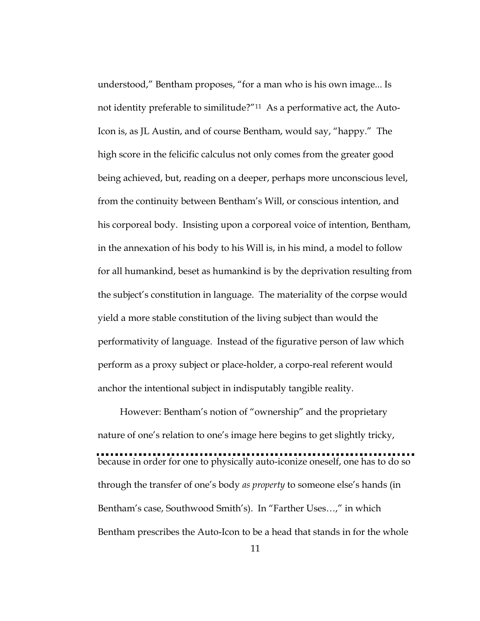understood," Bentham proposes, "for a man who is his own image... Is not identity preferable to similitude?"11 As a performative act, the Auto-Icon is, as JL Austin, and of course Bentham, would say, "happy." The high score in the felicific calculus not only comes from the greater good being achieved, but, reading on a deeper, perhaps more unconscious level, from the continuity between Bentham's Will, or conscious intention, and his corporeal body. Insisting upon a corporeal voice of intention, Bentham, in the annexation of his body to his Will is, in his mind, a model to follow for all humankind, beset as humankind is by the deprivation resulting from the subject's constitution in language. The materiality of the corpse would yield a more stable constitution of the living subject than would the performativity of language. Instead of the figurative person of law which perform as a proxy subject or place-holder, a corpo-real referent would anchor the intentional subject in indisputably tangible reality.

However: Bentham's notion of "ownership" and the proprietary nature of one's relation to one's image here begins to get slightly tricky, because in order for one to physically auto-iconize oneself, one has to do so through the transfer of one's body *as property* to someone else's hands (in Bentham's case, Southwood Smith's). In "Farther Uses…," in which Bentham prescribes the Auto-Icon to be a head that stands in for the whole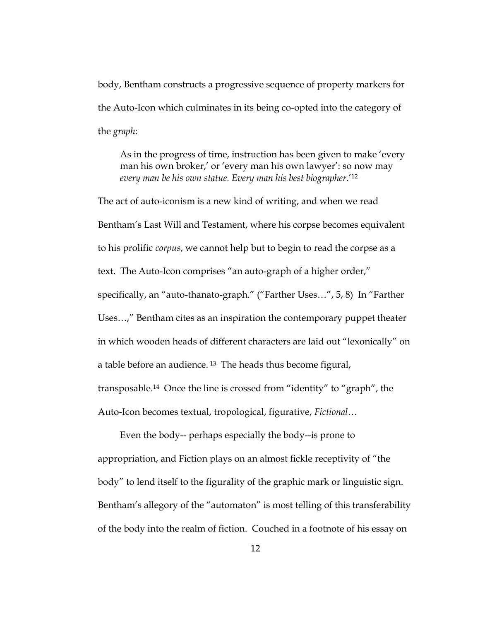body, Bentham constructs a progressive sequence of property markers for the Auto-Icon which culminates in its being co-opted into the category of the *graph*:

As in the progress of time, instruction has been given to make 'every man his own broker,' or 'every man his own lawyer': so now may *every man be his own statue. Every man his best biographer*.'<sup>12</sup>

The act of auto-iconism is a new kind of writing, and when we read Bentham's Last Will and Testament, where his corpse becomes equivalent to his prolific *corpus*, we cannot help but to begin to read the corpse as a text. The Auto-Icon comprises "an auto-graph of a higher order," specifically, an "auto-thanato-graph." ("Farther Uses…", 5, 8) In "Farther Uses…," Bentham cites as an inspiration the contemporary puppet theater in which wooden heads of different characters are laid out "lexonically" on a table before an audience. <sup>13</sup> The heads thus become figural, transposable.<sup>14</sup> Once the line is crossed from "identity" to "graph", the Auto-Icon becomes textual, tropological, figurative, *Fictional*…

Even the body-- perhaps especially the body--is prone to appropriation, and Fiction plays on an almost fickle receptivity of "the body" to lend itself to the figurality of the graphic mark or linguistic sign. Bentham's allegory of the "automaton" is most telling of this transferability of the body into the realm of fiction. Couched in a footnote of his essay on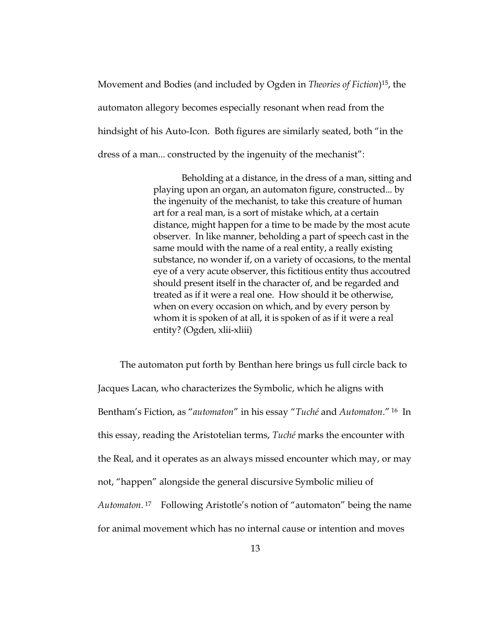Movement and Bodies (and included by Ogden in *Theories of Fiction*) <sup>15</sup>, the automaton allegory becomes especially resonant when read from the hindsight of his Auto-Icon. Both figures are similarly seated, both "in the dress of a man... constructed by the ingenuity of the mechanist":

> Beholding at a distance, in the dress of a man, sitting and playing upon an organ, an automaton figure, constructed... by the ingenuity of the mechanist, to take this creature of human art for a real man, is a sort of mistake which, at a certain distance, might happen for a time to be made by the most acute observer. In like manner, beholding a part of speech cast in the same mould with the name of a real entity, a really existing substance, no wonder if, on a variety of occasions, to the mental eye of a very acute observer, this fictitious entity thus accoutred should present itself in the character of, and be regarded and treated as if it were a real one. How should it be otherwise, when on every occasion on which, and by every person by whom it is spoken of at all, it is spoken of as if it were a real entity? (Ogden, xlii-xliii)

The automaton put forth by Benthan here brings us full circle back to Jacques Lacan, who characterizes the Symbolic, which he aligns with Bentham's Fiction, as "*automaton*" in his essay "*Tuché* and *Automaton*." <sup>16</sup> In this essay, reading the Aristotelian terms, *Tuché* marks the encounter with the Real, and it operates as an always missed encounter which may, or may not, "happen" alongside the general discursive Symbolic milieu of *Automaton*. <sup>17</sup> Following Aristotle's notion of "automaton" being the name for animal movement which has no internal cause or intention and moves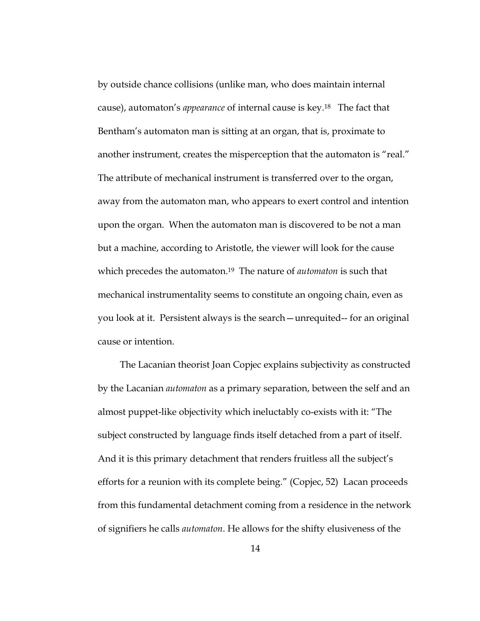by outside chance collisions (unlike man, who does maintain internal cause), automaton's *appearance* of internal cause is key.18 The fact that Bentham's automaton man is sitting at an organ, that is, proximate to another instrument, creates the misperception that the automaton is "real." The attribute of mechanical instrument is transferred over to the organ, away from the automaton man, who appears to exert control and intention upon the organ. When the automaton man is discovered to be not a man but a machine, according to Aristotle, the viewer will look for the cause which precedes the automaton.19 The nature of *automaton* is such that mechanical instrumentality seems to constitute an ongoing chain, even as you look at it. Persistent always is the search—unrequited-- for an original cause or intention.

The Lacanian theorist Joan Copjec explains subjectivity as constructed by the Lacanian *automaton* as a primary separation, between the self and an almost puppet-like objectivity which ineluctably co-exists with it: "The subject constructed by language finds itself detached from a part of itself. And it is this primary detachment that renders fruitless all the subject's efforts for a reunion with its complete being." (Copjec, 52) Lacan proceeds from this fundamental detachment coming from a residence in the network of signifiers he calls *automaton*. He allows for the shifty elusiveness of the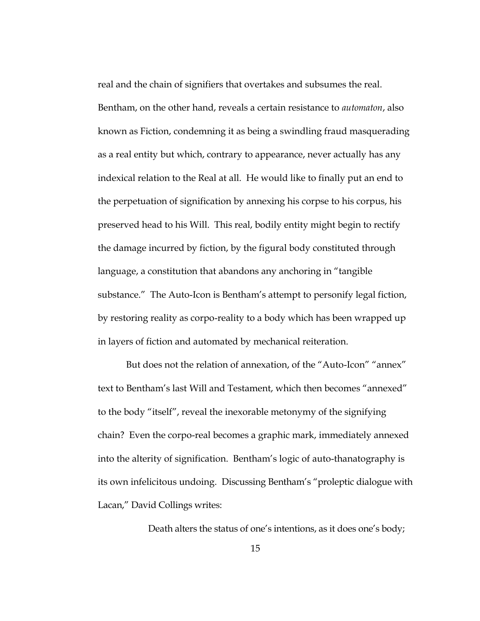real and the chain of signifiers that overtakes and subsumes the real. Bentham, on the other hand, reveals a certain resistance to *automaton*, also known as Fiction, condemning it as being a swindling fraud masquerading as a real entity but which, contrary to appearance, never actually has any indexical relation to the Real at all. He would like to finally put an end to the perpetuation of signification by annexing his corpse to his corpus, his preserved head to his Will. This real, bodily entity might begin to rectify the damage incurred by fiction, by the figural body constituted through language, a constitution that abandons any anchoring in "tangible substance." The Auto-Icon is Bentham's attempt to personify legal fiction, by restoring reality as corpo-reality to a body which has been wrapped up in layers of fiction and automated by mechanical reiteration.

But does not the relation of annexation, of the "Auto-Icon" "annex" text to Bentham's last Will and Testament, which then becomes "annexed" to the body "itself", reveal the inexorable metonymy of the signifying chain? Even the corpo-real becomes a graphic mark, immediately annexed into the alterity of signification. Bentham's logic of auto-thanatography is its own infelicitous undoing. Discussing Bentham's "proleptic dialogue with Lacan," David Collings writes:

Death alters the status of one's intentions, as it does one's body;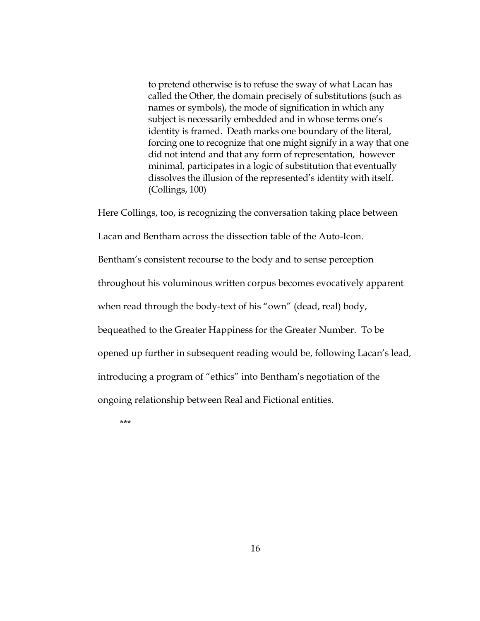to pretend otherwise is to refuse the sway of what Lacan has called the Other, the domain precisely of substitutions (such as names or symbols), the mode of signification in which any subject is necessarily embedded and in whose terms one's identity is framed. Death marks one boundary of the literal, forcing one to recognize that one might signify in a way that one did not intend and that any form of representation, however minimal, participates in a logic of substitution that eventually dissolves the illusion of the represented's identity with itself. (Collings, 100)

Here Collings, too, is recognizing the conversation taking place between Lacan and Bentham across the dissection table of the Auto-Icon. Bentham's consistent recourse to the body and to sense perception throughout his voluminous written corpus becomes evocatively apparent when read through the body-text of his "own" (dead, real) body, bequeathed to the Greater Happiness for the Greater Number. To be opened up further in subsequent reading would be, following Lacan's lead, introducing a program of "ethics" into Bentham's negotiation of the ongoing relationship between Real and Fictional entities.

\*\*\*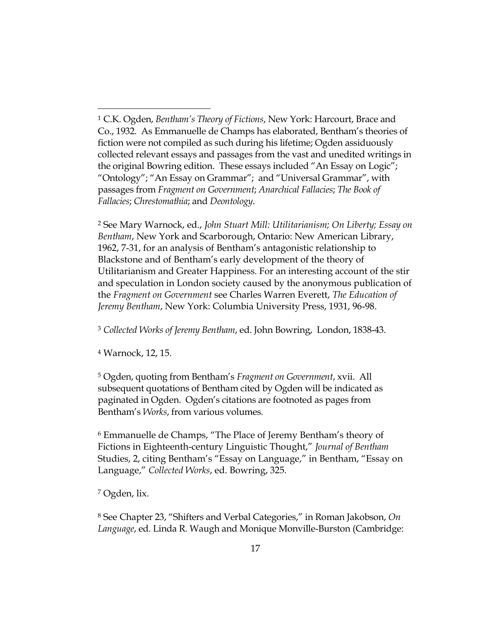<sup>2</sup> See Mary Warnock, ed., *John Stuart Mill: Utilitarianism; On Liberty; Essay on Bentham*, New York and Scarborough, Ontario: New American Library, 1962, 7-31, for an analysis of Bentham's antagonistic relationship to Blackstone and of Bentham's early development of the theory of Utilitarianism and Greater Happiness. For an interesting account of the stir and speculation in London society caused by the anonymous publication of the *Fragment on Government* see Charles Warren Everett, *The Education of Jeremy Bentham*, New York: Columbia University Press, 1931, 96-98.

<sup>3</sup> *Collected Works of Jeremy Bentham*, ed. John Bowring, London, 1838-43.

<sup>4</sup> Warnock, 12, 15.

-

<sup>5</sup> Ogden, quoting from Bentham's *Fragment on Government*, xvii. All subsequent quotations of Bentham cited by Ogden will be indicated as paginated in Ogden. Ogden's citations are footnoted as pages from Bentham's *Works*, from various volumes.

<sup>6</sup> Emmanuelle de Champs, "The Place of Jeremy Bentham's theory of Fictions in Eighteenth-century Linguistic Thought," *Journal of Bentham*  Studies, 2, citing Bentham's "Essay on Language," in Bentham, "Essay on Language," *Collected Works*, ed. Bowring, 325.

<sup>7</sup> Ogden, lix.

<sup>8</sup> See Chapter 23, "Shifters and Verbal Categories," in Roman Jakobson, *On Language*, ed. Linda R. Waugh and Monique Monville-Burston (Cambridge:

<sup>1</sup> C.K. Ogden, *Bentham's Theory of Fictions*, New York: Harcourt, Brace and Co., 1932. As Emmanuelle de Champs has elaborated, Bentham's theories of fiction were not compiled as such during his lifetime; Ogden assiduously collected relevant essays and passages from the vast and unedited writings in the original Bowring edition. These essays included "An Essay on Logic"; "Ontology"; "An Essay on Grammar"; and "Universal Grammar", with passages from *Fragment on Government*; *Anarchical Fallacies*; *The Book of Fallacies*; *Chrestomathia*; and *Deontology*.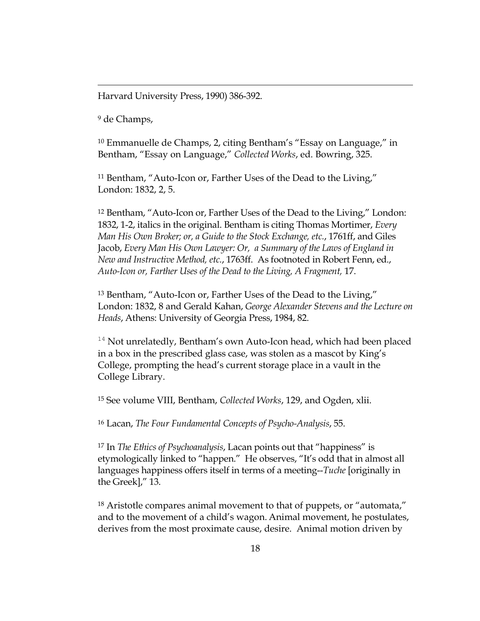Harvard University Press, 1990) 386-392.

<sup>9</sup> de Champs,

-

<sup>10</sup> Emmanuelle de Champs, 2, citing Bentham's "Essay on Language," in Bentham, "Essay on Language," *Collected Works*, ed. Bowring, 325.

<sup>11</sup> Bentham, "Auto-Icon or, Farther Uses of the Dead to the Living," London: 1832, 2, 5.

<sup>12</sup> Bentham, "Auto-Icon or, Farther Uses of the Dead to the Living," London: 1832, 1-2, italics in the original. Bentham is citing Thomas Mortimer, *Every Man His Own Broker; or, a Guide to the Stock Exchange, etc.*, 1761ff, and Giles Jacob, *Every Man His Own Lawyer: Or, a Summary of the Laws of England in New and Instructive Method, etc.*, 1763ff. As footnoted in Robert Fenn, ed., *Auto-Icon or, Farther Uses of the Dead to the Living, A Fragment,* 17.

<sup>13</sup> Bentham, "Auto-Icon or, Farther Uses of the Dead to the Living," London: 1832, 8 and Gerald Kahan, *George Alexander Stevens and the Lecture on Heads*, Athens: University of Georgia Press, 1984, 82.

 $14$  Not unrelatedly, Bentham's own Auto-Icon head, which had been placed in a box in the prescribed glass case, was stolen as a mascot by King's College, prompting the head's current storage place in a vault in the College Library.

<sup>15</sup> See volume VIII, Bentham, *Collected Works*, 129, and Ogden, xlii.

<sup>16</sup> Lacan, *The Four Fundamental Concepts of Psycho-Analysis*, 55.

<sup>17</sup> In *The Ethics of Psychoanalysis*, Lacan points out that "happiness" is etymologically linked to "happen." He observes, "It's odd that in almost all languages happiness offers itself in terms of a meeting--*Tuche* [originally in the Greek]," 13.

<sup>18</sup> Aristotle compares animal movement to that of puppets, or "automata," and to the movement of a child's wagon. Animal movement, he postulates, derives from the most proximate cause, desire. Animal motion driven by